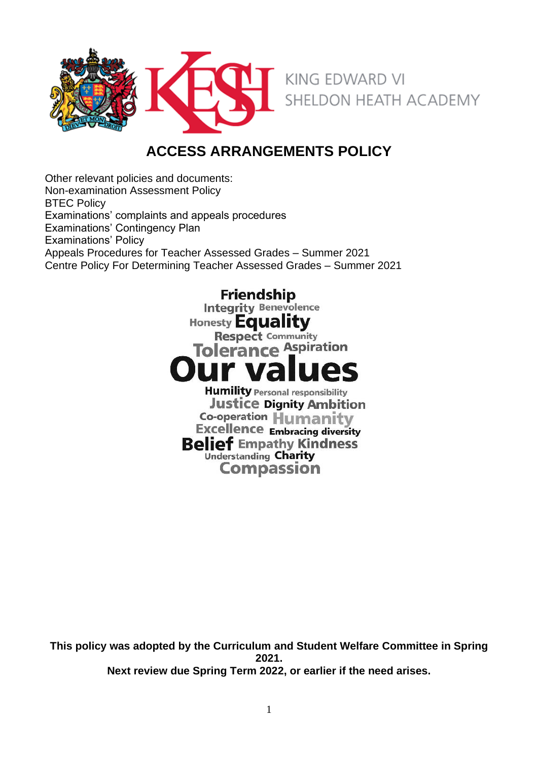

# **ACCESS ARRANGEMENTS POLICY**

Other relevant policies and documents: Non-examination Assessment Policy BTEC Policy Examinations' complaints and appeals procedures Examinations' Contingency Plan Examinations' Policy Appeals Procedures for Teacher Assessed Grades – Summer 2021 Centre Policy For Determining Teacher Assessed Grades – Summer 2021

> **Friendship Integrity Benevolence**

Honesty **Equality** 

**Respect Community** 

**Tolerance Aspiration** 

**Humility Personal responsibility Justice Dignity Ambition Co-operation Humanity Excellence Embracing diversity Belief Empathy Kindness** Understanding Charity **Compassion** 

**This policy was adopted by the Curriculum and Student Welfare Committee in Spring 2021. Next review due Spring Term 2022, or earlier if the need arises.**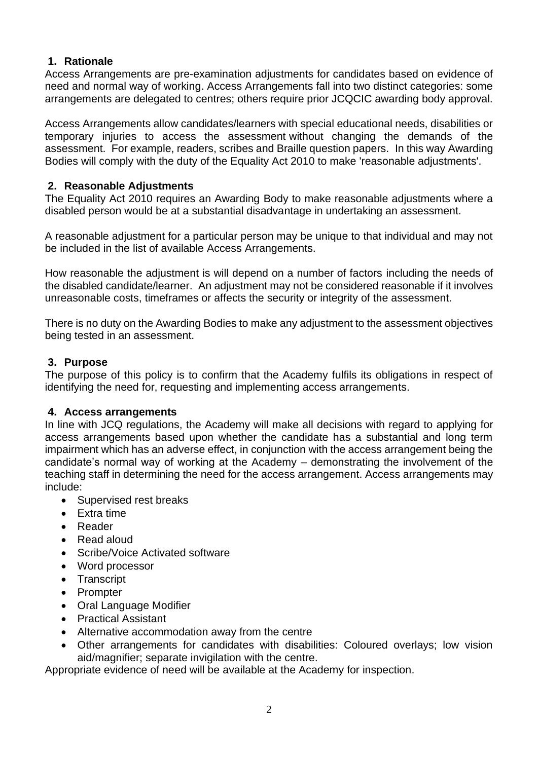### **1. Rationale**

Access Arrangements are pre-examination adjustments for candidates based on evidence of need and normal way of working. Access Arrangements fall into two distinct categories: some arrangements are delegated to centres; others require prior JCQCIC awarding body approval.

Access Arrangements allow candidates/learners with special educational needs, disabilities or temporary injuries to access the assessment without changing the demands of the assessment. For example, readers, scribes and Braille question papers. In this way Awarding Bodies will comply with the duty of the Equality Act 2010 to make 'reasonable adjustments'.

### **2. Reasonable Adjustments**

The Equality Act 2010 requires an Awarding Body to make reasonable adjustments where a disabled person would be at a substantial disadvantage in undertaking an assessment.

A reasonable adjustment for a particular person may be unique to that individual and may not be included in the list of available Access Arrangements.

How reasonable the adjustment is will depend on a number of factors including the needs of the disabled candidate/learner. An adjustment may not be considered reasonable if it involves unreasonable costs, timeframes or affects the security or integrity of the assessment.

There is no duty on the Awarding Bodies to make any adjustment to the assessment objectives being tested in an assessment.

### **3. Purpose**

The purpose of this policy is to confirm that the Academy fulfils its obligations in respect of identifying the need for, requesting and implementing access arrangements.

### **4. Access arrangements**

In line with JCQ regulations, the Academy will make all decisions with regard to applying for access arrangements based upon whether the candidate has a substantial and long term impairment which has an adverse effect, in conjunction with the access arrangement being the candidate's normal way of working at the Academy – demonstrating the involvement of the teaching staff in determining the need for the access arrangement. Access arrangements may include:

- Supervised rest breaks
- Extra time
- Reader
- Read aloud
- Scribe/Voice Activated software
- Word processor
- Transcript
- Prompter
- Oral Language Modifier
- Practical Assistant
- Alternative accommodation away from the centre
- Other arrangements for candidates with disabilities: Coloured overlays; low vision aid/magnifier; separate invigilation with the centre.

Appropriate evidence of need will be available at the Academy for inspection.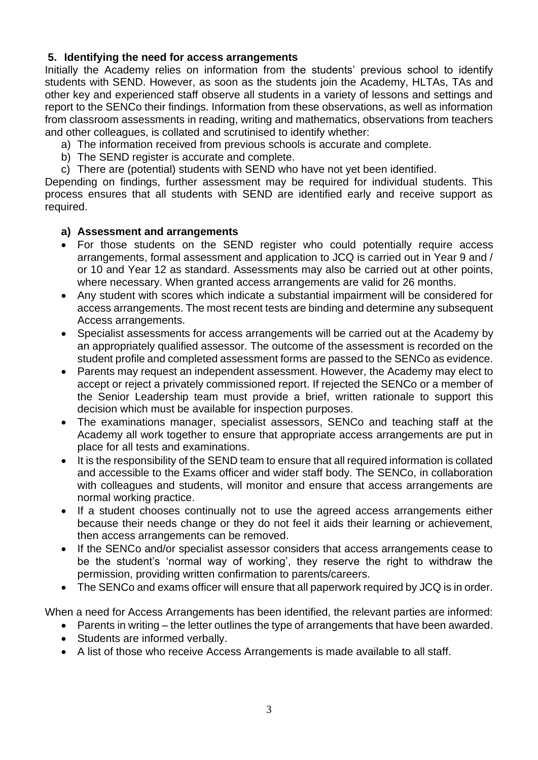### **5. Identifying the need for access arrangements**

Initially the Academy relies on information from the students' previous school to identify students with SEND. However, as soon as the students join the Academy, HLTAs, TAs and other key and experienced staff observe all students in a variety of lessons and settings and report to the SENCo their findings. Information from these observations, as well as information from classroom assessments in reading, writing and mathematics, observations from teachers and other colleagues, is collated and scrutinised to identify whether:

- a) The information received from previous schools is accurate and complete.
- b) The SEND register is accurate and complete.
- c) There are (potential) students with SEND who have not yet been identified.

Depending on findings, further assessment may be required for individual students. This process ensures that all students with SEND are identified early and receive support as required.

### **a) Assessment and arrangements**

- For those students on the SEND register who could potentially require access arrangements, formal assessment and application to JCQ is carried out in Year 9 and / or 10 and Year 12 as standard. Assessments may also be carried out at other points, where necessary. When granted access arrangements are valid for 26 months.
- Any student with scores which indicate a substantial impairment will be considered for access arrangements. The most recent tests are binding and determine any subsequent Access arrangements.
- Specialist assessments for access arrangements will be carried out at the Academy by an appropriately qualified assessor. The outcome of the assessment is recorded on the student profile and completed assessment forms are passed to the SENCo as evidence.
- Parents may request an independent assessment. However, the Academy may elect to accept or reject a privately commissioned report. If rejected the SENCo or a member of the Senior Leadership team must provide a brief, written rationale to support this decision which must be available for inspection purposes.
- The examinations manager, specialist assessors, SENCo and teaching staff at the Academy all work together to ensure that appropriate access arrangements are put in place for all tests and examinations.
- It is the responsibility of the SEND team to ensure that all required information is collated and accessible to the Exams officer and wider staff body. The SENCo, in collaboration with colleagues and students, will monitor and ensure that access arrangements are normal working practice.
- If a student chooses continually not to use the agreed access arrangements either because their needs change or they do not feel it aids their learning or achievement, then access arrangements can be removed.
- If the SENCo and/or specialist assessor considers that access arrangements cease to be the student's 'normal way of working', they reserve the right to withdraw the permission, providing written confirmation to parents/careers.
- The SENCo and exams officer will ensure that all paperwork required by JCQ is in order.

When a need for Access Arrangements has been identified, the relevant parties are informed:

- Parents in writing the letter outlines the type of arrangements that have been awarded.
- Students are informed verbally.
- A list of those who receive Access Arrangements is made available to all staff.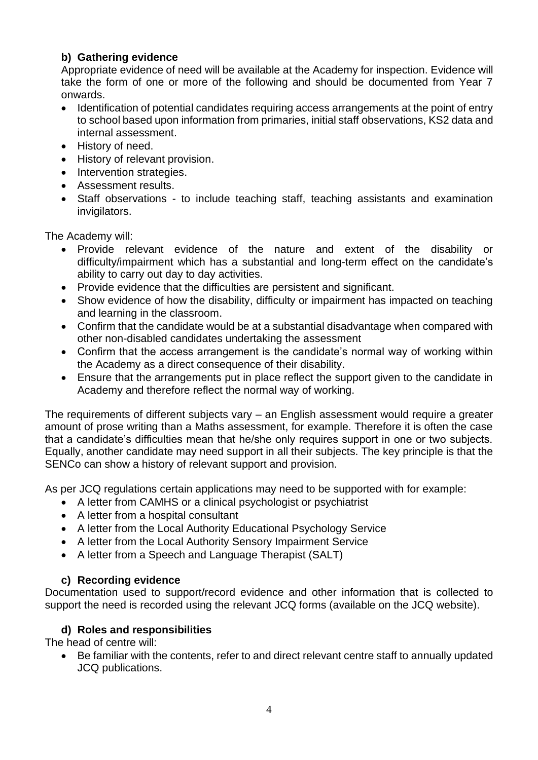# **b) Gathering evidence**

Appropriate evidence of need will be available at the Academy for inspection. Evidence will take the form of one or more of the following and should be documented from Year 7 onwards.

- Identification of potential candidates requiring access arrangements at the point of entry to school based upon information from primaries, initial staff observations, KS2 data and internal assessment.
- History of need.
- History of relevant provision.
- Intervention strategies.
- Assessment results.
- Staff observations to include teaching staff, teaching assistants and examination invigilators.

The Academy will:

- Provide relevant evidence of the nature and extent of the disability or difficulty/impairment which has a substantial and long-term effect on the candidate's ability to carry out day to day activities.
- Provide evidence that the difficulties are persistent and significant.
- Show evidence of how the disability, difficulty or impairment has impacted on teaching and learning in the classroom.
- Confirm that the candidate would be at a substantial disadvantage when compared with other non-disabled candidates undertaking the assessment
- Confirm that the access arrangement is the candidate's normal way of working within the Academy as a direct consequence of their disability.
- Ensure that the arrangements put in place reflect the support given to the candidate in Academy and therefore reflect the normal way of working.

The requirements of different subjects vary – an English assessment would require a greater amount of prose writing than a Maths assessment, for example. Therefore it is often the case that a candidate's difficulties mean that he/she only requires support in one or two subjects. Equally, another candidate may need support in all their subjects. The key principle is that the SENCo can show a history of relevant support and provision.

As per JCQ regulations certain applications may need to be supported with for example:

- A letter from CAMHS or a clinical psychologist or psychiatrist
- A letter from a hospital consultant
- A letter from the Local Authority Educational Psychology Service
- A letter from the Local Authority Sensory Impairment Service
- A letter from a Speech and Language Therapist (SALT)

# **c) Recording evidence**

Documentation used to support/record evidence and other information that is collected to support the need is recorded using the relevant JCQ forms (available on the JCQ website).

# **d) Roles and responsibilities**

The head of centre will:

• Be familiar with the contents, refer to and direct relevant centre staff to annually updated JCQ publications.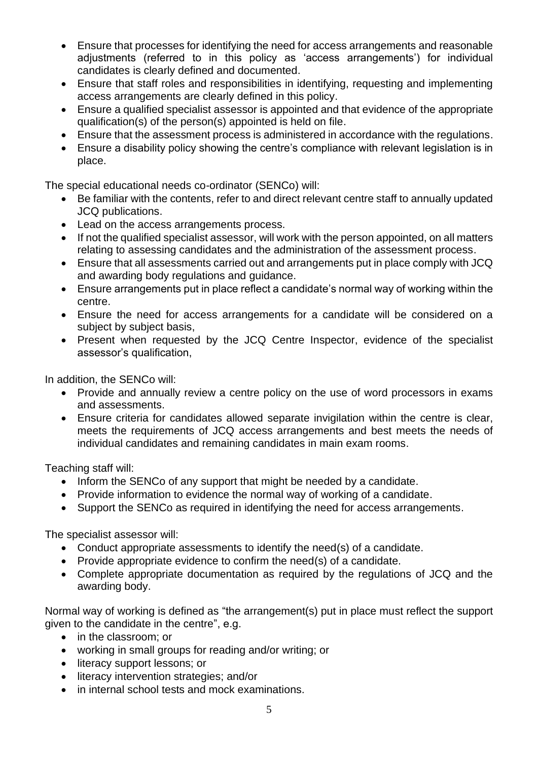- Ensure that processes for identifying the need for access arrangements and reasonable adjustments (referred to in this policy as 'access arrangements') for individual candidates is clearly defined and documented.
- Ensure that staff roles and responsibilities in identifying, requesting and implementing access arrangements are clearly defined in this policy.
- Ensure a qualified specialist assessor is appointed and that evidence of the appropriate qualification(s) of the person(s) appointed is held on file.
- Ensure that the assessment process is administered in accordance with the regulations.
- Ensure a disability policy showing the centre's compliance with relevant legislation is in place.

The special educational needs co-ordinator (SENCo) will:

- Be familiar with the contents, refer to and direct relevant centre staff to annually updated JCQ publications.
- Lead on the access arrangements process.
- If not the qualified specialist assessor, will work with the person appointed, on all matters relating to assessing candidates and the administration of the assessment process.
- Ensure that all assessments carried out and arrangements put in place comply with JCQ and awarding body regulations and guidance.
- Ensure arrangements put in place reflect a candidate's normal way of working within the centre.
- Ensure the need for access arrangements for a candidate will be considered on a subject by subject basis,
- Present when requested by the JCQ Centre Inspector, evidence of the specialist assessor's qualification,

In addition, the SENCo will:

- Provide and annually review a centre policy on the use of word processors in exams and assessments.
- Ensure criteria for candidates allowed separate invigilation within the centre is clear, meets the requirements of JCQ access arrangements and best meets the needs of individual candidates and remaining candidates in main exam rooms.

Teaching staff will:

- Inform the SENCo of any support that might be needed by a candidate.
- Provide information to evidence the normal way of working of a candidate.
- Support the SENCo as required in identifying the need for access arrangements.

The specialist assessor will:

- Conduct appropriate assessments to identify the need(s) of a candidate.
- Provide appropriate evidence to confirm the need(s) of a candidate.
- Complete appropriate documentation as required by the regulations of JCQ and the awarding body.

Normal way of working is defined as "the arrangement(s) put in place must reflect the support given to the candidate in the centre", e.g.

- in the classroom; or
- working in small groups for reading and/or writing; or
- literacy support lessons; or
- literacy intervention strategies; and/or
- in internal school tests and mock examinations.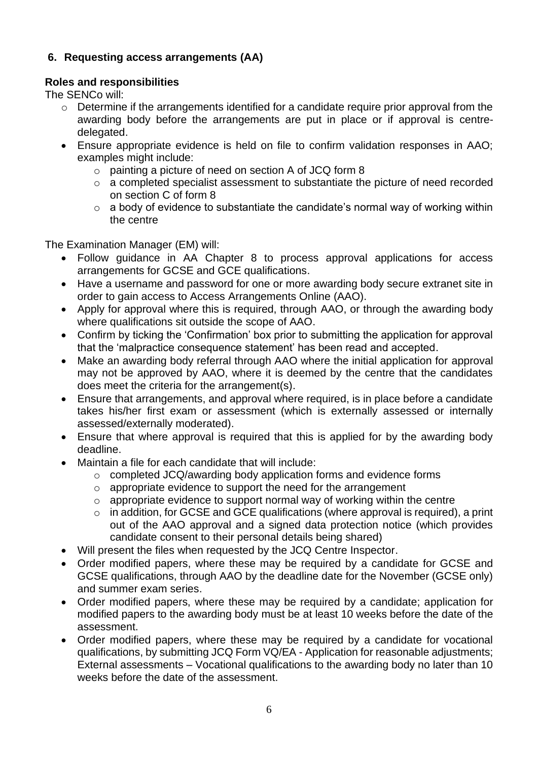### **6. Requesting access arrangements (AA)**

### **Roles and responsibilities**

The SENCo will:

- o Determine if the arrangements identified for a candidate require prior approval from the awarding body before the arrangements are put in place or if approval is centredelegated.
- Ensure appropriate evidence is held on file to confirm validation responses in AAO; examples might include:
	- o painting a picture of need on section A of JCQ form 8
	- o a completed specialist assessment to substantiate the picture of need recorded on section C of form 8
	- $\circ$  a body of evidence to substantiate the candidate's normal way of working within the centre

The Examination Manager (EM) will:

- Follow guidance in [AA](http://www.jcq.org.uk/exams-office/access-arrangements-and-special-consideration) Chapter 8 to process approval applications for access arrangements for GCSE and GCE qualifications.
- Have a username and password for one or more awarding body secure extranet site in order to gain access to Access Arrangements Online (AAO).
- Apply for approval where this is required, through AAO, or through the awarding body where qualifications sit outside the scope of AAO.
- Confirm by ticking the 'Confirmation' box prior to submitting the application for approval that the 'malpractice consequence statement' has been read and accepted.
- Make an awarding body referral through AAO where the initial application for approval may not be approved by AAO, where it is deemed by the centre that the candidates does meet the criteria for the arrangement(s).
- Ensure that arrangements, and approval where required, is in place before a candidate takes his/her first exam or assessment (which is externally assessed or internally assessed/externally moderated).
- Ensure that where approval is required that this is applied for by the awarding body deadline.
- Maintain a file for each candidate that will include:
	- o completed JCQ/awarding body application forms and evidence forms
	- o appropriate evidence to support the need for the arrangement
	- o appropriate evidence to support normal way of working within the centre
	- $\circ$  in addition, for GCSE and GCE qualifications (where approval is required), a print out of the AAO approval and a signed data protection notice (which provides candidate consent to their personal details being shared)
- Will present the files when requested by the JCQ Centre Inspector.
- Order modified papers, where these may be required by a candidate for GCSE and GCSE qualifications, through AAO by the deadline date for the November (GCSE only) and summer exam series.
- Order modified papers, where these may be required by a candidate; application for modified papers to the awarding body must be at least 10 weeks before the date of the assessment.
- Order modified papers, where these may be required by a candidate for vocational qualifications, by submitting JCQ Form VQ/EA - Application for reasonable adjustments; External assessments – Vocational qualifications to the awarding body no later than 10 weeks before the date of the assessment.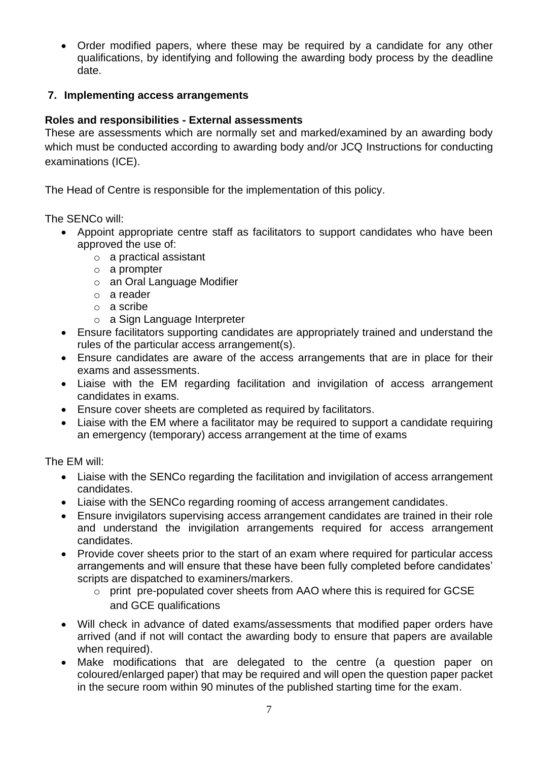• Order modified papers, where these may be required by a candidate for any other qualifications, by identifying and following the awarding body process by the deadline date.

### **7. Implementing access arrangements**

### **Roles and responsibilities - External assessments**

These are assessments which are normally set and marked/examined by an awarding body which must be conducted according to awarding body and/or JCQ [Instructions for conducting](http://www.jcq.org.uk/exams-office/ice---instructions-for-conducting-examinations)  [examinations](http://www.jcq.org.uk/exams-office/ice---instructions-for-conducting-examinations) (ICE).

The Head of Centre is responsible for the implementation of this policy.

The SENCo will:

- Appoint appropriate centre staff as facilitators to support candidates who have been approved the use of:
	- o a practical assistant
	- o a prompter
	- o an Oral Language Modifier
	- o a reader
	- o a scribe
	- o a Sign Language Interpreter
- Ensure facilitators supporting candidates are appropriately trained and understand the rules of the particular access arrangement(s).
- Ensure candidates are aware of the access arrangements that are in place for their exams and assessments.
- Liaise with the EM regarding facilitation and invigilation of access arrangement candidates in exams.
- Ensure cover sheets are completed as required by facilitators.
- Liaise with the EM where a facilitator may be required to support a candidate requiring an emergency (temporary) access arrangement at the time of exams

The EM will:

- Liaise with the SENCo regarding the facilitation and invigilation of access arrangement candidates.
- Liaise with the SENCo regarding rooming of access arrangement candidates.
- Ensure invigilators supervising access arrangement candidates are trained in their role and understand the invigilation arrangements required for access arrangement candidates.
- Provide cover sheets prior to the start of an exam where required for particular access arrangements and will ensure that these have been fully completed before candidates' scripts are dispatched to examiners/markers.
	- o print pre-populated cover sheets from AAO where this is required for GCSE and GCE qualifications
- Will check in advance of dated exams/assessments that modified paper orders have arrived (and if not will contact the awarding body to ensure that papers are available when required).
- Make modifications that are delegated to the centre (a question paper on coloured/enlarged paper) that may be required and will open the question paper packet in the secure room within 90 minutes of the published starting time for the exam.